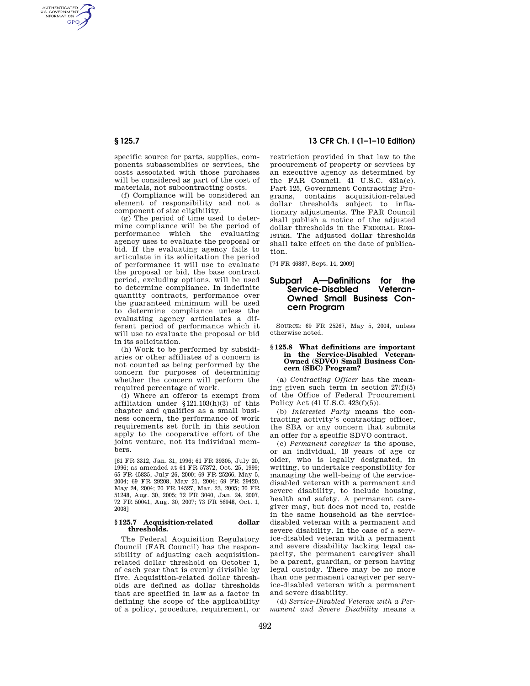AUTHENTICATED<br>U.S. GOVERNMENT<br>INFORMATION **GPO** 

> specific source for parts, supplies, components subassemblies or services, the costs associated with those purchases will be considered as part of the cost of materials, not subcontracting costs.

> (f) Compliance will be considered an element of responsibility and not a component of size eligibility.

(g) The period of time used to determine compliance will be the period of performance which the evaluating agency uses to evaluate the proposal or bid. If the evaluating agency fails to articulate in its solicitation the period of performance it will use to evaluate the proposal or bid, the base contract period, excluding options, will be used to determine compliance. In indefinite quantity contracts, performance over the guaranteed minimum will be used to determine compliance unless the evaluating agency articulates a different period of performance which it will use to evaluate the proposal or bid in its solicitation.

(h) Work to be performed by subsidiaries or other affiliates of a concern is not counted as being performed by the concern for purposes of determining whether the concern will perform the required percentage of work.

(i) Where an offeror is exempt from affiliation under §121.103(h)(3) of this chapter and qualifies as a small business concern, the performance of work requirements set forth in this section apply to the cooperative effort of the joint venture, not its individual members.

[61 FR 3312, Jan. 31, 1996; 61 FR 39305, July 20, 1996; as amended at 64 FR 57372, Oct. 25, 1999; 65 FR 45835, July 26, 2000; 69 FR 25266, May 5, 2004; 69 FR 29208, May 21, 2004; 69 FR 29420, May 24, 2004; 70 FR 14527, Mar. 23, 2005; 70 FR 51248, Aug. 30, 2005; 72 FR 3040, Jan. 24, 2007, 72 FR 50041, Aug. 30, 2007; 73 FR 56948, Oct. 1, 2008]

## **§ 125.7 Acquisition-related dollar thresholds.**

The Federal Acquisition Regulatory Council (FAR Council) has the responsibility of adjusting each acquisitionrelated dollar threshold on October 1, of each year that is evenly divisible by five. Acquisition-related dollar thresholds are defined as dollar thresholds that are specified in law as a factor in defining the scope of the applicability of a policy, procedure, requirement, or

# **§ 125.7 13 CFR Ch. I (1–1–10 Edition)**

restriction provided in that law to the procurement of property or services by an executive agency as determined by the FAR Council. 41 U.S.C. 431a(c). Part 125, Government Contracting Programs, contains acquisition-related dollar thresholds subject to inflationary adjustments. The FAR Council shall publish a notice of the adjusted dollar thresholds in the FEDERAL REG-ISTER. The adjusted dollar thresholds shall take effect on the date of publication.

[74 FR 46887, Sept. 14, 2009]

## **Subpart A—Definitions for the Service-Disabled Veteran-Owned Small Business Concern Program**

SOURCE: 69 FR 25267, May 5, 2004, unless otherwise noted.

### **§ 125.8 What definitions are important in the Service-Disabled Veteran-Owned (SDVO) Small Business Concern (SBC) Program?**

(a) *Contracting Officer* has the meaning given such term in section 27(f)(5) of the Office of Federal Procurement Policy Act (41 U.S.C. 423(f)(5)).

(b) *Interested Party* means the contracting activity's contracting officer, the SBA or any concern that submits an offer for a specific SDVO contract.

(c) *Permanent caregiver* is the spouse, or an individual, 18 years of age or older, who is legally designated, in writing, to undertake responsibility for managing the well-being of the servicedisabled veteran with a permanent and severe disability, to include housing, health and safety. A permanent caregiver may, but does not need to, reside in the same household as the servicedisabled veteran with a permanent and severe disability. In the case of a service-disabled veteran with a permanent and severe disability lacking legal capacity, the permanent caregiver shall be a parent, guardian, or person having legal custody. There may be no more than one permanent caregiver per service-disabled veteran with a permanent and severe disability.

(d) *Service-Disabled Veteran with a Permanent and Severe Disability* means a